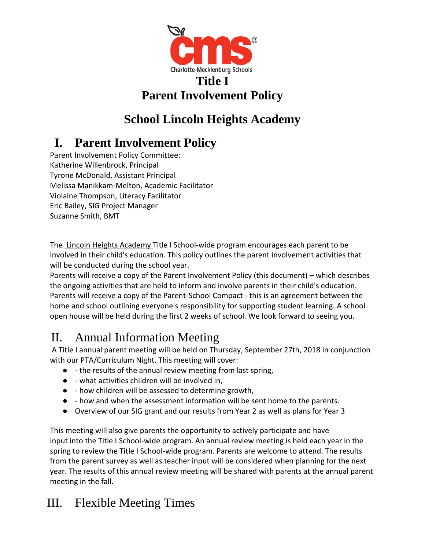

# **Parent Involvement Policy**

# **School Lincoln Heights Academy**

# **I. Parent Involvement Policy**

Parent Involvement Policy Committee: Katherine Willenbrock, Principal Tyrone McDonald, Assistant Principal Melissa Manikkam-Melton, Academic Facilitator Violaine Thompson, Literacy Facilitator Eric Bailey, SIG Project Manager Suzanne Smith, BMT

The Lincoln Heights Academy Title I School-wide program encourages each parent to be involved in their child's education. This policy outlines the parent involvement activities that will be conducted during the school year.

Parents will receive a copy of the Parent Involvement Policy (this document) – which describes the ongoing activities that are held to inform and involve parents in their child's education. Parents will receive a copy of the Parent-School Compact - this is an agreement between the home and school outlining everyone's responsibility for supporting student learning. A school open house will be held during the first 2 weeks of school. We look forward to seeing you.

### II. Annual Information Meeting

A Title I annual parent meeting will be held on Thursday, September 27th, 2018 in conjunction with our PTA/Curriculum Night. This meeting will cover:

- - the results of the annual review meeting from last spring,
- - what activities children will be involved in,
- - how children will be assessed to determine growth,
- - how and when the assessment information will be sent home to the parents.
- Overview of our SIG grant and our results from Year 2 as well as plans for Year 3

This meeting will also give parents the opportunity to actively participate and have input into the Title I School-wide program. An annual review meeting is held each year in the spring to review the Title I School-wide program. Parents are welcome to attend. The results from the parent survey as well as teacher input will be considered when planning for the next year. The results of this annual review meeting will be shared with parents at the annual parent meeting in the fall.

### III. Flexible Meeting Times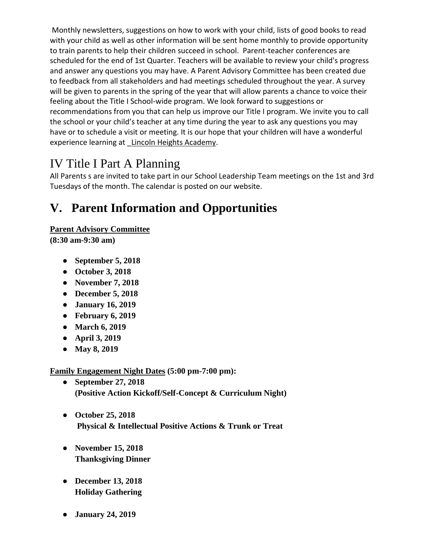Monthly newsletters, suggestions on how to work with your child, lists of good books to read with your child as well as other information will be sent home monthly to provide opportunity to train parents to help their children succeed in school. Parent-teacher conferences are scheduled for the end of 1st Quarter. Teachers will be available to review your child's progress and answer any questions you may have. A Parent Advisory Committee has been created due to feedback from all stakeholders and had meetings scheduled throughout the year. A survey will be given to parents in the spring of the year that will allow parents a chance to voice their feeling about the Title I School-wide program. We look forward to suggestions or recommendations from you that can help us improve our Title I program. We invite you to call the school or your child's teacher at any time during the year to ask any questions you may have or to schedule a visit or meeting. It is our hope that your children will have a wonderful experience learning at Lincoln Heights Academy.

#### IV Title I Part A Planning

All Parents s are invited to take part in our School Leadership Team meetings on the 1st and 3rd Tuesdays of the month. The calendar is posted on our website.

# **V. Parent Information and Opportunities**

#### **Parent Advisory Committee**

**(8:30 am-9:30 am)**

- **September 5, 2018**
- **October 3, 2018**
- **November 7, 2018**
- **December 5, 2018**
- **January 16, 2019**
- **February 6, 2019**
- **March 6, 2019**
- **April 3, 2019**
- **May 8, 2019**

**Family Engagement Night Dates (5:00 pm-7:00 pm):**

- **September 27, 2018 (Positive Action Kickoff/Self-Concept & Curriculum Night)**
- **October 25, 2018 Physical & Intellectual Positive Actions & Trunk or Treat**
- **November 15, 2018 Thanksgiving Dinner**
- **December 13, 2018 Holiday Gathering**
- **January 24, 2019**